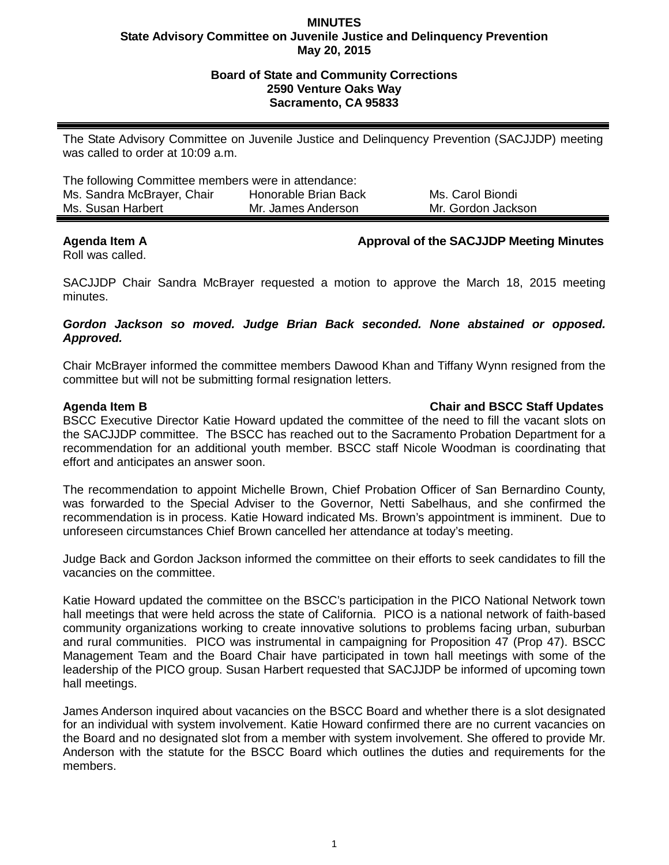### **MINUTES State Advisory Committee on Juvenile Justice and Delinquency Prevention May 20, 2015**

## **Board of State and Community Corrections 2590 Venture Oaks Way Sacramento, CA 95833**

The State Advisory Committee on Juvenile Justice and Delinquency Prevention (SACJJDP) meeting was called to order at 10:09 a.m.

| The following Committee members were in attendance: |                      |                    |
|-----------------------------------------------------|----------------------|--------------------|
| Ms. Sandra McBrayer, Chair                          | Honorable Brian Back | Ms. Carol Biondi   |
| Ms. Susan Harbert                                   | Mr. James Anderson   | Mr. Gordon Jackson |

## **Agenda Item A Approval of the SACJJDP Meeting Minutes**

Roll was called.

SACJJDP Chair Sandra McBrayer requested a motion to approve the March 18, 2015 meeting minutes.

## *Gordon Jackson so moved. Judge Brian Back seconded. None abstained or opposed. Approved.*

Chair McBrayer informed the committee members Dawood Khan and Tiffany Wynn resigned from the committee but will not be submitting formal resignation letters.

# **Agenda Item B Chair and BSCC Staff Updates**

BSCC Executive Director Katie Howard updated the committee of the need to fill the vacant slots on the SACJJDP committee. The BSCC has reached out to the Sacramento Probation Department for a recommendation for an additional youth member. BSCC staff Nicole Woodman is coordinating that effort and anticipates an answer soon.

The recommendation to appoint Michelle Brown, Chief Probation Officer of San Bernardino County, was forwarded to the Special Adviser to the Governor, Netti Sabelhaus, and she confirmed the recommendation is in process. Katie Howard indicated Ms. Brown's appointment is imminent. Due to unforeseen circumstances Chief Brown cancelled her attendance at today's meeting.

Judge Back and Gordon Jackson informed the committee on their efforts to seek candidates to fill the vacancies on the committee.

Katie Howard updated the committee on the BSCC's participation in the PICO National Network town hall meetings that were held across the state of California. PICO is a national network of faith-based community organizations working to create innovative solutions to problems facing urban, suburban and rural communities. PICO was instrumental in campaigning for Proposition 47 (Prop 47). BSCC Management Team and the Board Chair have participated in town hall meetings with some of the leadership of the PICO group. Susan Harbert requested that SACJJDP be informed of upcoming town hall meetings.

James Anderson inquired about vacancies on the BSCC Board and whether there is a slot designated for an individual with system involvement. Katie Howard confirmed there are no current vacancies on the Board and no designated slot from a member with system involvement. She offered to provide Mr. Anderson with the statute for the BSCC Board which outlines the duties and requirements for the members.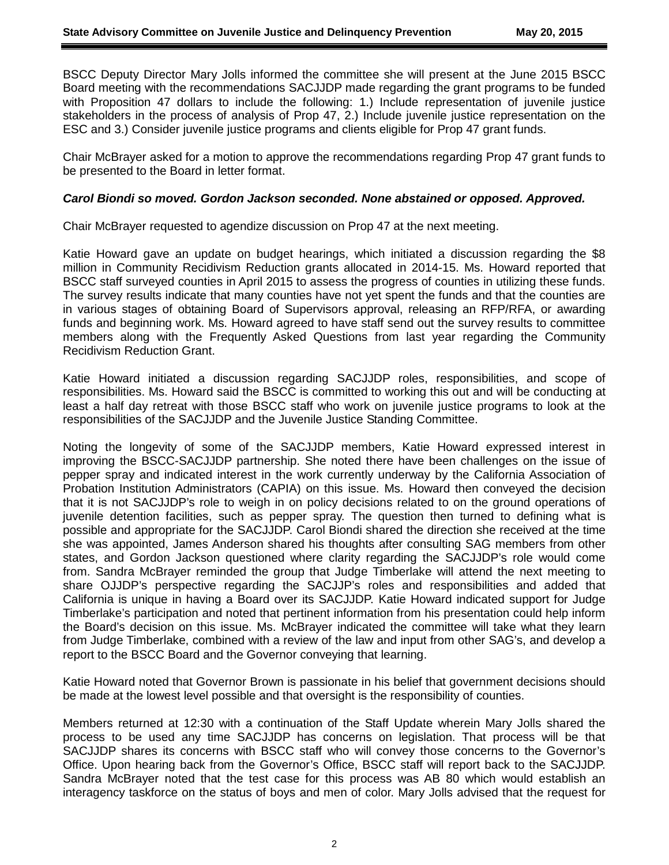BSCC Deputy Director Mary Jolls informed the committee she will present at the June 2015 BSCC Board meeting with the recommendations SACJJDP made regarding the grant programs to be funded with Proposition 47 dollars to include the following: 1.) Include representation of juvenile justice stakeholders in the process of analysis of Prop 47, 2.) Include juvenile justice representation on the ESC and 3.) Consider juvenile justice programs and clients eligible for Prop 47 grant funds.

Chair McBrayer asked for a motion to approve the recommendations regarding Prop 47 grant funds to be presented to the Board in letter format.

#### *Carol Biondi so moved. Gordon Jackson seconded. None abstained or opposed. Approved.*

Chair McBrayer requested to agendize discussion on Prop 47 at the next meeting.

Katie Howard gave an update on budget hearings, which initiated a discussion regarding the \$8 million in Community Recidivism Reduction grants allocated in 2014-15. Ms. Howard reported that BSCC staff surveyed counties in April 2015 to assess the progress of counties in utilizing these funds. The survey results indicate that many counties have not yet spent the funds and that the counties are in various stages of obtaining Board of Supervisors approval, releasing an RFP/RFA, or awarding funds and beginning work. Ms. Howard agreed to have staff send out the survey results to committee members along with the Frequently Asked Questions from last year regarding the Community Recidivism Reduction Grant.

Katie Howard initiated a discussion regarding SACJJDP roles, responsibilities, and scope of responsibilities. Ms. Howard said the BSCC is committed to working this out and will be conducting at least a half day retreat with those BSCC staff who work on juvenile justice programs to look at the responsibilities of the SACJJDP and the Juvenile Justice Standing Committee.

Noting the longevity of some of the SACJJDP members, Katie Howard expressed interest in improving the BSCC-SACJJDP partnership. She noted there have been challenges on the issue of pepper spray and indicated interest in the work currently underway by the California Association of Probation Institution Administrators (CAPIA) on this issue. Ms. Howard then conveyed the decision that it is not SACJJDP's role to weigh in on policy decisions related to on the ground operations of juvenile detention facilities, such as pepper spray. The question then turned to defining what is possible and appropriate for the SACJJDP. Carol Biondi shared the direction she received at the time she was appointed, James Anderson shared his thoughts after consulting SAG members from other states, and Gordon Jackson questioned where clarity regarding the SACJJDP's role would come from. Sandra McBrayer reminded the group that Judge Timberlake will attend the next meeting to share OJJDP's perspective regarding the SACJJP's roles and responsibilities and added that California is unique in having a Board over its SACJJDP. Katie Howard indicated support for Judge Timberlake's participation and noted that pertinent information from his presentation could help inform the Board's decision on this issue. Ms. McBrayer indicated the committee will take what they learn from Judge Timberlake, combined with a review of the law and input from other SAG's, and develop a report to the BSCC Board and the Governor conveying that learning.

Katie Howard noted that Governor Brown is passionate in his belief that government decisions should be made at the lowest level possible and that oversight is the responsibility of counties.

Members returned at 12:30 with a continuation of the Staff Update wherein Mary Jolls shared the process to be used any time SACJJDP has concerns on legislation. That process will be that SACJJDP shares its concerns with BSCC staff who will convey those concerns to the Governor's Office. Upon hearing back from the Governor's Office, BSCC staff will report back to the SACJJDP. Sandra McBrayer noted that the test case for this process was AB 80 which would establish an interagency taskforce on the status of boys and men of color. Mary Jolls advised that the request for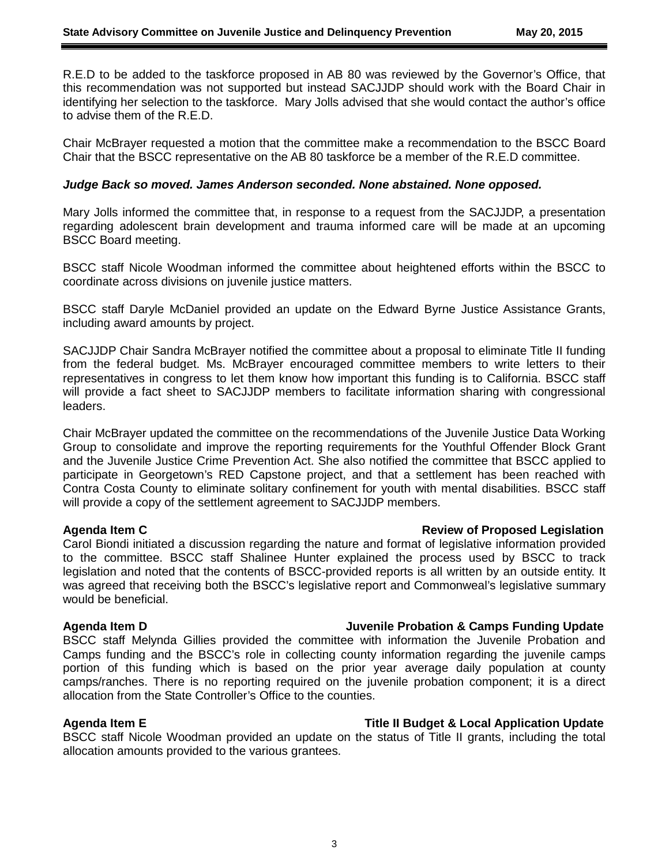R.E.D to be added to the taskforce proposed in AB 80 was reviewed by the Governor's Office, that this recommendation was not supported but instead SACJJDP should work with the Board Chair in identifying her selection to the taskforce. Mary Jolls advised that she would contact the author's office to advise them of the R.E.D.

Chair McBrayer requested a motion that the committee make a recommendation to the BSCC Board Chair that the BSCC representative on the AB 80 taskforce be a member of the R.E.D committee.

#### *Judge Back so moved. James Anderson seconded. None abstained. None opposed.*

Mary Jolls informed the committee that, in response to a request from the SACJJDP, a presentation regarding adolescent brain development and trauma informed care will be made at an upcoming BSCC Board meeting.

BSCC staff Nicole Woodman informed the committee about heightened efforts within the BSCC to coordinate across divisions on juvenile justice matters.

BSCC staff Daryle McDaniel provided an update on the Edward Byrne Justice Assistance Grants, including award amounts by project.

SACJJDP Chair Sandra McBrayer notified the committee about a proposal to eliminate Title II funding from the federal budget. Ms. McBrayer encouraged committee members to write letters to their representatives in congress to let them know how important this funding is to California. BSCC staff will provide a fact sheet to SACJJDP members to facilitate information sharing with congressional leaders.

Chair McBrayer updated the committee on the recommendations of the Juvenile Justice Data Working Group to consolidate and improve the reporting requirements for the Youthful Offender Block Grant and the Juvenile Justice Crime Prevention Act. She also notified the committee that BSCC applied to participate in Georgetown's RED Capstone project, and that a settlement has been reached with Contra Costa County to eliminate solitary confinement for youth with mental disabilities. BSCC staff will provide a copy of the settlement agreement to SACJJDP members.

### **Agenda Item C Review of Proposed Legislation**

Carol Biondi initiated a discussion regarding the nature and format of legislative information provided to the committee. BSCC staff Shalinee Hunter explained the process used by BSCC to track legislation and noted that the contents of BSCC-provided reports is all written by an outside entity. It was agreed that receiving both the BSCC's legislative report and Commonweal's legislative summary would be beneficial.

## **Agenda Item D Juvenile Probation & Camps Funding Update**

BSCC staff Melynda Gillies provided the committee with information the Juvenile Probation and Camps funding and the BSCC's role in collecting county information regarding the juvenile camps portion of this funding which is based on the prior year average daily population at county camps/ranches. There is no reporting required on the juvenile probation component; it is a direct allocation from the State Controller's Office to the counties.

### **Agenda Item E Title II Budget & Local Application Update**

BSCC staff Nicole Woodman provided an update on the status of Title II grants, including the total allocation amounts provided to the various grantees.